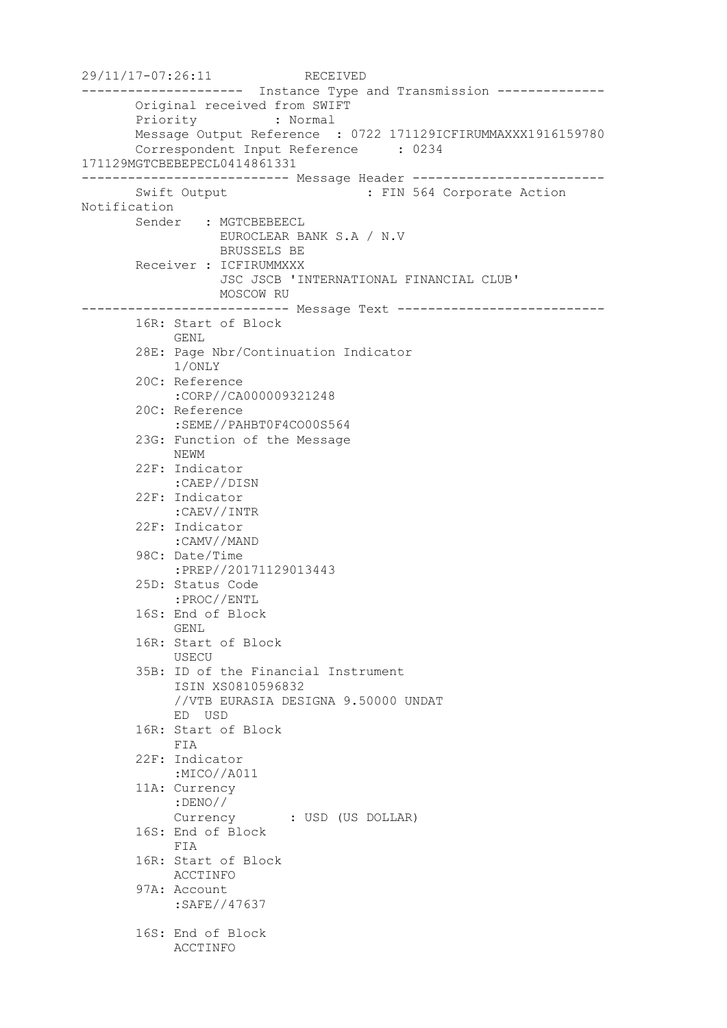29/11/17-07:26:11 RECEIVED --------------------- Instance Type and Transmission -------------- Original received from SWIFT Priority : Normal Message Output Reference : 0722 171129ICFIRUMMAXXX1916159780 Correspondent Input Reference : 0234 171129MGTCBEBEPECL0414861331 --------------------------- Message Header ------------------------- Swift Output : FIN 564 Corporate Action Notification Sender : MGTCBEBEECL EUROCLEAR BANK S.A / N.V BRUSSELS BE Receiver : ICFIRUMMXXX JSC JSCB 'INTERNATIONAL FINANCIAL CLUB' MOSCOW RU --------------------------- Message Text --------------------------- 16R: Start of Block GENL 28E: Page Nbr/Continuation Indicator 1/ONLY 20C: Reference :CORP//CA000009321248 20C: Reference :SEME//PAHBT0F4CO00S564 23G: Function of the Message NEWM 22F: Indicator :CAEP//DISN 22F: Indicator :CAEV//INTR 22F: Indicator :CAMV//MAND 98C: Date/Time :PREP//20171129013443 25D: Status Code :PROC//ENTL 16S: End of Block GENL 16R: Start of Block USECU 35B: ID of the Financial Instrument ISIN XS0810596832 //VTB EURASIA DESIGNA 9.50000 UNDAT ED USD 16R: Start of Block FIA 22F: Indicator :MICO//A011 11A: Currency :DENO// Currency : USD (US DOLLAR) 16S: End of Block FIA 16R: Start of Block ACCTINFO 97A: Account :SAFE//47637 16S: End of Block ACCTINFO